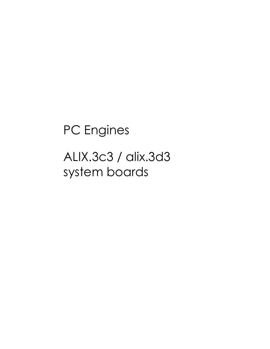# PC Engines ALIX.3c3 / alix.3d3 system boards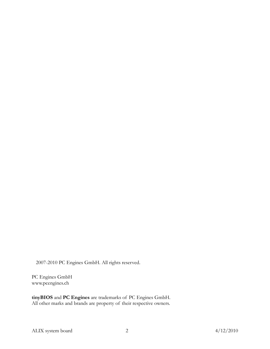2007-2010 PC Engines GmbH. All rights reserved.

PC Engines GmbH www.pcengines.ch

tinyBIOS and PC Engines are trademarks of PC Engines GmbH. All other marks and brands are property of their respective owners.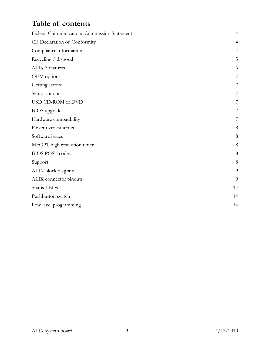### Table of contents

| Federal Communications Commission Statement | $\overline{4}$ |
|---------------------------------------------|----------------|
| CE Declaration of Conformity                | $\overline{4}$ |
| Compliance information                      | $\overline{4}$ |
| Recycling / disposal                        | 5              |
| ALIX.3 features                             | 6              |
| OEM options                                 | 7              |
| Getting started                             | 7              |
| Setup options                               | 7              |
| USD CD-ROM or DVD                           | 7              |
| BIOS upgrade                                | 7              |
| Hardware compatibility                      | 7              |
| Power over Ethernet                         | 8              |
| Software issues                             | 8              |
| MFGPT high resolution timer                 | 8              |
| <b>BIOS POST codes</b>                      | 8              |
| Support                                     | 8              |
| ALIX block diagram                          | 9              |
| ALIX connector pinouts                      | 9              |
| Status LEDs                                 | 14             |
| Pushbutton switch                           | 14             |
| Low level programming                       | 14             |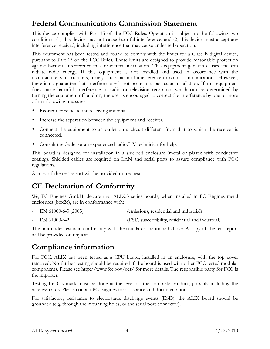### Federal Communications Commission Statement

This device complies with Part 15 of the FCC Rules. Operation is subject to the following two conditions: (1) this device may not cause harmful interference, and (2) this device must accept any interference received, including interference that may cause undesired operation.

This equipment has been tested and found to comply with the limits for a Class B digital device, pursuant to Part 15 of the FCC Rules. These limits are designed to provide reasonable protection against harmful interference in a residential installation. This equipment generates, uses and can radiate radio energy. If this equipment is not installed and used in accordance with the manufacturer's instructions, it may cause harmful interference to radio communications. However, there is no guarantee that interference will not occur in a particular installation. If this equipment does cause harmful interference to radio or television reception, which can be determined by turning the equipment off and on, the user is encouraged to correct the interference by one or more of the following measures:

- Reorient or relocate the receiving antenna.
- Increase the separation between the equipment and receiver.
- Connect the equipment to an outlet on a circuit different from that to which the receiver is connected.
- Consult the dealer or an experienced radio/TV technician for help.

This board is designed for installation in a shielded enclosure (metal or plastic with conductive coating). Shielded cables are required on LAN and serial ports to assure compliance with FCC regulations.

A copy of the test report will be provided on request.

### CE Declaration of Conformity

We, PC Engines GmbH, declare that ALIX.3 series boards, when installed in PC Engines metal enclosures (box2c), are in conformance with:

- EN 61000-6-3 (2005) (emissions, residential and industrial)
- EN 61000-6-2 (ESD, susceptibility, residential and industrial)

The unit under test is in conformity with the standards mentioned above. A copy of the test report will be provided on request.

### Compliance information

For FCC, ALIX has been tested as a CPU board, installed in an enclosure, with the top cover removed. No further testing should be required if the board is used with other FCC tested modular components. Please see http://www.fcc.gov/oet/ for more details. The responsible party for FCC is the importer.

Testing for CE mark must be done at the level of the complete product, possibly including the wireless cards. Please contact PC Engines for assistance and documentation.

For satisfactory resistance to electrostatic discharge events (ESD), the ALIX board should be grounded (e.g. through the mounting holes, or the serial port connector).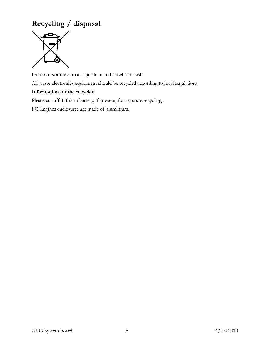### Recycling / disposal



Do not discard electronic products in household trash! All waste electronics equipment should be recycled according to local regulations. Information for the recycler:

Please cut off Lithium battery, if present, for separate recycling.

PC Engines enclosures are made of aluminium.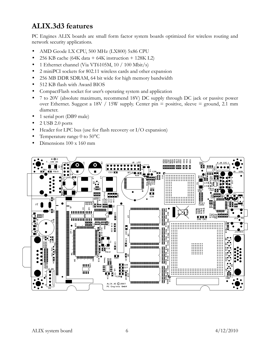### ALIX.3d3 features

PC Engines ALIX boards are small form factor system boards optimized for wireless routing and network security applications.

- AMD Geode LX CPU, 500 MHz (LX800) 5x86 CPU
- 256 KB cache (64K data + 64K instruction + 128K L2)
- 1 Ethernet channel (Via VT6105M, 10 / 100 Mbit/s)
- 2 miniPCI sockets for 802.11 wireless cards and other expansion
- 256 MB DDR SDRAM, 64 bit wide for high memory bandwidth
- 512 KB flash with Award BIOS
- CompactFlash socket for user's operating system and application
- 7 to 20V (absolute maximum, recommend 18V) DC supply through DC jack or passive power over Ethernet. Suggest a 18V / 15W supply. Center pin = positive, sleeve = ground, 2.1 mm diameter.
- 1 serial port (DB9 male)
- 2 USB 2.0 ports
- Header for LPC bus (use for flash recovery or I/O expansion)
- Temperature range 0 to 50°C
- Dimensions 100 x 160 mm

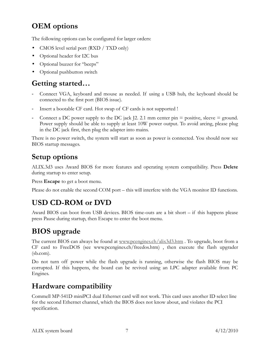### OEM options

The following options can be configured for larger orders:

- CMOS level serial port (RXD / TXD only)
- Optional header for I2C bus
- Optional buzzer for "beeps"
- Optional pushbutton switch

### Getting started…

- Connect VGA, keyboard and mouse as needed. If using a USB hub, the keyboard should be connected to the first port (BIOS issue).
- Insert a bootable CF card. Hot swap of CF cards is not supported !
- Connect a DC power supply to the DC jack  $[2, 2.1 \text{ mm}$  center pin = positive, sleeve = ground. Power supply should be able to supply at least 10W power output. To avoid arcing, please plug in the DC jack first, then plug the adapter into mains.

There is no power switch, the system will start as soon as power is connected. You should now see BIOS startup messages.

### Setup options

ALIX.3d3 uses Award BIOS for more features and operating system compatibility. Press Delete during startup to enter setup.

Press **Escape** to get a boot menu.

Please do not enable the second COM port – this will interfere with the VGA monitor ID functions.

## USD CD-ROM or DVD

Award BIOS can boot from USB devices. BIOS time-outs are a bit short – if this happens please press Pause during startup, then Escape to enter the boot menu.

### BIOS upgrade

The current BIOS can always be found at www.pcengines.ch/alix3d3.htm . To upgrade, boot from a CF card to FreeDOS (see www.pcengines.ch/freedos.htm) , then execute the flash upgrader (sb.com).

Do not turn off power while the flash upgrade is running, otherwise the flash BIOS may be corrupted. If this happens, the board can be revived using an LPC adapter available from PC Engines.

### Hardware compatibility

Commell MP-541D miniPCI dual Ethernet card will not work. This card uses another ID select line for the second Ethernet channel, which the BIOS does not know about, and violates the PCI specification.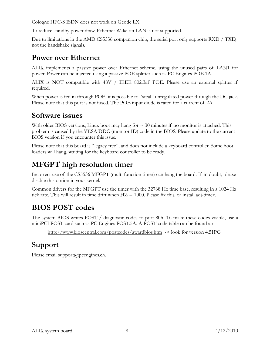Cologne HFC-S ISDN does not work on Geode LX.

To reduce standby power draw, Ethernet Wake on LAN is not supported.

Due to limitations in the AMD CS5536 companion chip, the serial port only supports RXD / TXD, not the handshake signals.

### Power over Ethernet

ALIX implements a passive power over Ethernet scheme, using the unused pairs of LAN1 for power. Power can be injected using a passive POE splitter such as PC Engines POE.1A. .

ALIX is NOT compatible with 48V / IEEE 802.3af POE. Please use an external splitter if required.

When power is fed in through POE, it is possible to "steal" unregulated power through the DC jack. Please note that this port is not fused. The POE input diode is rated for a current of 2A.

### Software issues

With older BIOS versions, Linux boot may hang for  $\sim$  30 minutes if no monitor is attached. This problem is caused by the VESA DDC (monitor ID) code in the BIOS. Please update to the current BIOS version if you encounter this issue.

Please note that this board is "legacy free", and does not include a keyboard controller. Some boot loaders will hang, waiting for the keyboard controller to be ready.

### MFGPT high resolution timer

Incorrect use of the CS5536 MFGPT (multi function timer) can hang the board. If in doubt, please disable this option in your kernel.

Common drivers for the MFGPT use the timer with the 32768 Hz time base, resulting in a 1024 Hz tick rate. This will result in time drift when  $HZ = 1000$ . Please fix this, or install adj-timex.

### BIOS POST codes

The system BIOS writes POST / diagnostic codes to port 80h. To make these codes visible, use a miniPCI POST card such as PC Engines POST.5A. A POST code table can be found at:

http://www.bioscentral.com/postcodes/awardbios.htm -> look for version 4.51PG

### Support

Please email support@pcengines.ch.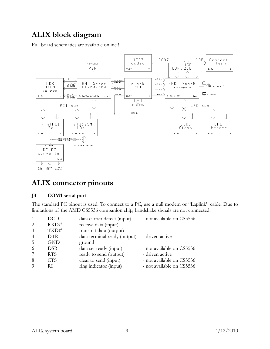### ALIX block diagram

Full board schematics are available online !



### ALIX connector pinouts

#### J3 COM1 serial port

The standard PC pinout is used. To connect to a PC, use a null modem or "Laplink" cable. Due to limitations of the AMD CS5536 companion chip, handshake signals are not connected.

|                | DCD        | data carrier detect (input)  | - not available on CS5536 |
|----------------|------------|------------------------------|---------------------------|
| $\mathcal{L}$  | RXD#       | receive data (input)         |                           |
| $\mathcal{E}$  | TXD#       | transmit data (output)       |                           |
| $\overline{4}$ | <b>DTR</b> | data terminal ready (output) | - driven active           |
| -5             | <b>GND</b> | ground                       |                           |
| -6             | <b>DSR</b> | data set ready (input)       | - not available on CS5536 |
|                | <b>RTS</b> | ready to send (output)       | - driven active           |
| -8             | <b>CTS</b> | clear to send (input)        | - not available on CS5536 |
|                | RI         | ring indicator (input)       | - not available on CS5536 |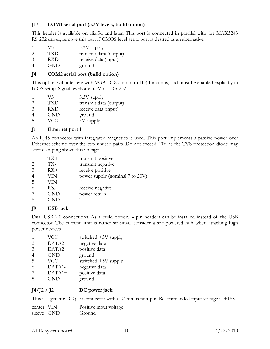#### J17 COM1 serial port (3.3V levels, build option)

This header is available on alix.3d and later. This port is connected in parallel with the MAX3243 RS-232 driver, remove this part if CMOS level serial port is desired as an alternative.

- 1 V3 3.3V supply<br>2 TXD transmit data
- 2 TXD transmit data (output)
- 3 RXD receive data (input)
- 4 GND ground

#### J4 COM2 serial port (build option)

This option will interfere with VGA DDC (monitor ID) functions, and must be enabled explicitly in BIOS setup. Signal levels are 3.3V, not RS-232.

- $1 \qquad V3 \qquad 3.3V$  supply
- 2 TXD transmit data (output)
- 3 RXD receive data (input)
- 4 GND ground
- 5 VCC 5V supply

#### J1 Ethernet port 1

An RJ45 connector with integrated magnetics is used. This port implements a passive power over Ethernet scheme over the two unused pairs. Do not exceed 20V as the TVS protection diode may start clamping above this voltage.

|                             | TX+        | transmit positive               |
|-----------------------------|------------|---------------------------------|
| $\mathcal{D}_{\mathcal{L}}$ | TX-        | transmit negative               |
| 3                           | $RX+$      | receive positive                |
| $\overline{4}$              | VIN        | power supply (nominal 7 to 20V) |
| 5                           | VIN        | $\epsilon$                      |
| 6                           | $RX-$      | receive negative                |
|                             | <b>GND</b> | power return                    |
| 8                           | GND        | $\epsilon$                      |

#### J9 USB jack

Dual USB 2.0 connections. As a build option, 4 pin headers can be installed instead of the USB connector. The current limit is rather sensitive, consider a self-powered hub when attaching high power devices.

|                               | <b>VCC</b> | switched +5V supply |
|-------------------------------|------------|---------------------|
| $\mathfrak{D}_{\mathfrak{p}}$ | DATA2-     | negative data       |
| 3                             | DATA2+     | positive data       |
|                               | <b>GND</b> | ground              |
| .5                            | <b>VCC</b> | switched +5V supply |
|                               | DATA1-     | negative data       |
|                               | $DATA1+$   | positive data       |
|                               | <b>GND</b> | ground              |
|                               |            |                     |

#### $J4/J2 / J2$  DC power jack

This is a generic DC jack connector with a 2.1mm center pin. Recommended input voltage is +18V.

| center VIN | Positive input voltage |
|------------|------------------------|
| sleeve GND | Ground                 |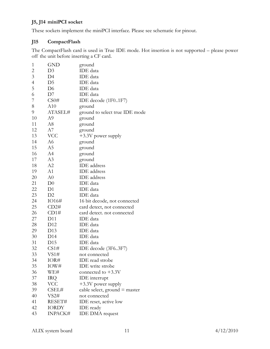### J5, J14 miniPCI socket

These sockets implement the miniPCI interface. Please see schematic for pinout.

#### J15 CompactFlash

The CompactFlash card is used in True IDE mode. Hot insertion is not supported – please power off the unit before inserting a CF card.

| $\mathbf{1}$   | <b>GND</b>      | ground                          |
|----------------|-----------------|---------------------------------|
| $\overline{c}$ | D <sub>3</sub>  | IDE data                        |
| 3              | D4              | IDE data                        |
| 4              | D <sub>5</sub>  | <b>IDE</b> data                 |
| 5              | D <sub>6</sub>  | <b>IDE</b> data                 |
| 6              | D7              | <b>IDE</b> data                 |
| 7              | CS0#            | IDE decode (1F01F7)             |
| 8              | A10             | ground                          |
| 9              | ATASEL#         | ground to select true IDE mode  |
| 10             | A9              | ground                          |
| 11             | A8              | ground                          |
| 12             | A7              | ground                          |
| 13             | <b>VCC</b>      | $+3.3V$ power supply            |
| 14             | A6              | ground                          |
| 15             | A5              | ground                          |
| 16             | A4              | ground                          |
| 17             | A <sub>3</sub>  | ground                          |
| 18             | A2              | <b>IDE</b> address              |
| 19             | A1              | <b>IDE</b> address              |
| 20             | A <sub>0</sub>  | <b>IDE</b> address              |
| 21             | D <sub>0</sub>  | <b>IDE</b> data                 |
| 22             | D <sub>1</sub>  | <b>IDE</b> data                 |
| 23             | D2              | <b>IDE</b> data                 |
| 24             | IO16#           | 16 bit decode, not connected    |
| 25             | CD2#            | card detect, not connected      |
| 26             | CD1#            | card detect. not connected      |
| 27             | D <sub>11</sub> | IDE data                        |
| 28             | D12             | IDE data                        |
| 29             | D13             | <b>IDE</b> data                 |
| 30             | D14             | <b>IDE</b> data                 |
| 31             | D15             | <b>IDE</b> data                 |
| 32             | CS1#            | IDE decode (3F63F7)             |
| 33             | VS1#            | not connected                   |
| 34             | IOR#            | <b>IDE</b> read strobe          |
| 35             | IOW#            | IDE write strobe                |
| 36             | WE#             | connected to $+3.3V$            |
| 37             | IRQ.            | IDE interrupt                   |
| 38             | <b>VCC</b>      | +3.3V power supply              |
| 39             | CSEL#           | cable select, ground $=$ master |
| 40             | VS2#            | not connected                   |
| 41             | RESET#          | IDE reset, active low           |
| 42             | <b>IORDY</b>    | IDE ready                       |
| 43             | INPACK#         | <b>IDE DMA</b> request          |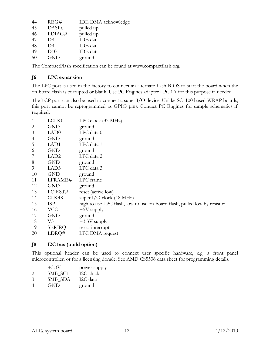| 44 | REG#           | <b>IDE DMA</b> acknowledge |
|----|----------------|----------------------------|
| 45 | DASP#          | pulled up                  |
| 46 | PDIAG#         | pulled up                  |
| 47 | D8             | <b>IDE</b> data            |
| 48 | D <sup>9</sup> | <b>IDE</b> data            |
| 49 | D10            | <b>IDE</b> data            |
| 50 | <b>GND</b>     | ground                     |

The CompactFlash specification can be found at www.compactflash.org.

#### J6 LPC expansion

The LPC port is used in the factory to connect an alternate flash BIOS to start the board when the on-board flash is corrupted or blank. Use PC Engines adapter LPC.1A for this purpose if needed.

The LCP port can also be used to connect a super I/O device. Unlike SC1100 based WRAP boards, this port cannot be reprogrammed as GPIO pins. Contact PC Engines for sample schematics if required.

| 1  | LCLK0            | $LPC$ clock $(33 \text{ MHz})$                                           |
|----|------------------|--------------------------------------------------------------------------|
| 2  | <b>GND</b>       | ground                                                                   |
| 3  | LAD <sub>0</sub> | $LPC$ data $0$                                                           |
| 4  | <b>GND</b>       | ground                                                                   |
| 5  | LAD1             | LPC data 1                                                               |
| 6  | <b>GND</b>       | ground                                                                   |
|    | LAD <sub>2</sub> | LPC data 2                                                               |
| 8  | <b>GND</b>       | ground                                                                   |
| 9  | LAD3             | LPC data 3                                                               |
| 10 | <b>GND</b>       | ground                                                                   |
| 11 | LFRAME#          | LPC frame                                                                |
| 12 | <b>GND</b>       | ground                                                                   |
| 13 | PCIRST#          | reset (active low)                                                       |
| 14 | CLK48            | super $I/O$ clock (48 MHz)                                               |
| 15 | <b>ISP</b>       | high to use LPC flash, low to use on-board flash, pulled low by resistor |
| 16 | <b>VCC</b>       | $+5V$ supply                                                             |
| 17 | <b>GND</b>       | ground                                                                   |
| 18 | V3               | $+3.3V$ supply                                                           |
| 19 | <b>SERIRQ</b>    | serial interrupt                                                         |
| 20 | LDRQ#            | LPC DMA request                                                          |

#### J8 I2C bus (build option)

This optional header can be used to connect user specific hardware, e.g. a front panel microcontroller, or for a licensing dongle. See AMD CS5536 data sheet for programming details.

| $+3.3V$ | power supply |
|---------|--------------|
|         |              |

- 2 SMB\_SCL I2C clock<br>3 SMB SDA I2C data
- 3 SMB SDA
- 4 GND ground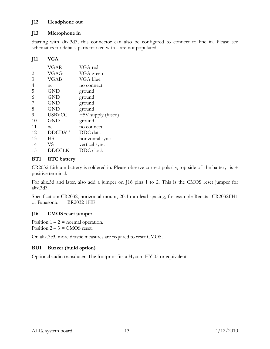#### J12 Headphone out

#### J13 Microphone in

Starting with alix.3d3, this connector can also be configured to connect to line in. Please see schematics for details, parts marked with – are not populated.

#### J11 VGA

| VGAR          | VGA red              |
|---------------|----------------------|
| VGAG          | VGA green            |
| VGAB          | VGA blue             |
| nc            | no connect           |
| <b>GND</b>    | ground               |
| <b>GND</b>    | ground               |
| <b>GND</b>    | ground               |
| <b>GND</b>    | ground               |
| <b>USBVCC</b> | $+5V$ supply (fused) |
| <b>GND</b>    | ground               |
| nc            | no connect           |
| <b>DDCDAT</b> | DDC data             |
| НS            | horizontal sync      |
| <b>VS</b>     | vertical sync        |
| DDCCLK        | DDC clock            |
|               |                      |

#### **BT1** RTC battery

CR2032 Lithium battery is soldered in. Please observe correct polarity, top side of the battery is + positive terminal.

For alix.3d and later, also add a jumper on J16 pins 1 to 2. This is the CMOS reset jumper for alix.3d3.

Specification: CR2032, horizontal mount, 20.4 mm lead spacing, for example Renata CR2032FH1 or Panasonic BR2032-1HE.

#### J16 CMOS reset jumper

Position  $1 - 2$  = normal operation. Position  $2 - 3 =$  CMOS reset.

On alix.3c3, more drastic measures are required to reset CMOS…

#### BU1 Buzzer (build option)

Optional audio transducer. The footprint fits a Hycom HY-05 or equivalent.